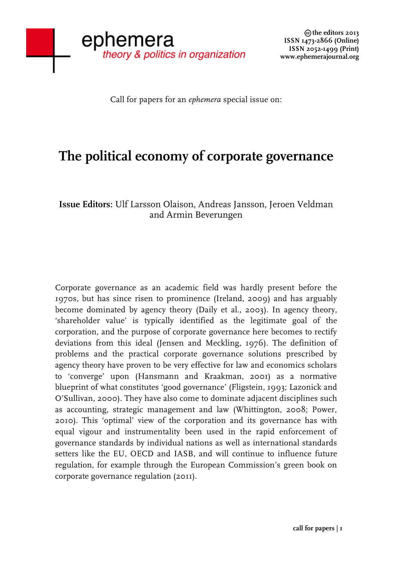Call for papers for an *ephemera* special issue on:

## **The political economy of corporate governance**

## **Issue Editors:** Ulf Larsson Olaison, Andreas Jansson, Jeroen Veldman and Armin Beverungen

Corporate governance as an academic field was hardly present before the 1970s, but has since risen to prominence (Ireland, 2009) and has arguably become dominated by agency theory (Daily et al., 2003). In agency theory, 'shareholder value' is typically identified as the legitimate goal of the corporation, and the purpose of corporate governance here becomes to rectify deviations from this ideal (Jensen and Meckling, 1976). The definition of problems and the practical corporate governance solutions prescribed by agency theory have proven to be very effective for law and economics scholars to 'converge' upon (Hansmann and Kraakman, 2001) as a normative blueprint of what constitutes 'good governance' (Fligstein, 1993; Lazonick and O'Sullivan, 2000). They have also come to dominate adjacent disciplines such as accounting, strategic management and law (Whittington, 2008; Power, 2010). This 'optimal' view of the corporation and its governance has with equal vigour and instrumentality been used in the rapid enforcement of governance standards by individual nations as well as international standards setters like the EU, OECD and IASB, and will continue to influence future regulation, for example through the European Commission's green book on corporate governance regulation (2011).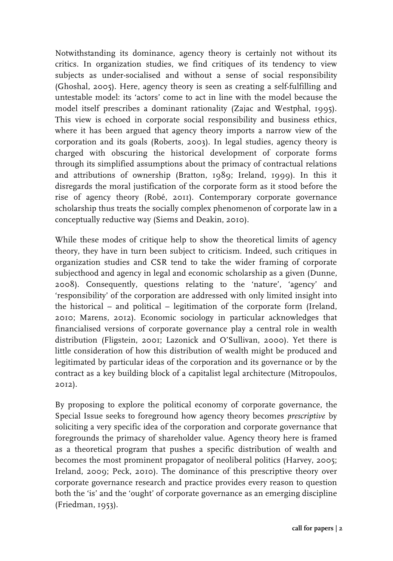Notwithstanding its dominance, agency theory is certainly not without its critics. In organization studies, we find critiques of its tendency to view subjects as under-socialised and without a sense of social responsibility (Ghoshal, 2005). Here, agency theory is seen as creating a self-fulfilling and untestable model: its 'actors' come to act in line with the model because the model itself prescribes a dominant rationality (Zajac and Westphal, 1995). This view is echoed in corporate social responsibility and business ethics, where it has been argued that agency theory imports a narrow view of the corporation and its goals (Roberts, 2003). In legal studies, agency theory is charged with obscuring the historical development of corporate forms through its simplified assumptions about the primacy of contractual relations and attributions of ownership (Bratton, 1989; Ireland, 1999). In this it disregards the moral justification of the corporate form as it stood before the rise of agency theory (Robé, 2011). Contemporary corporate governance scholarship thus treats the socially complex phenomenon of corporate law in a conceptually reductive way (Siems and Deakin, 2010).

While these modes of critique help to show the theoretical limits of agency theory, they have in turn been subject to criticism. Indeed, such critiques in organization studies and CSR tend to take the wider framing of corporate subjecthood and agency in legal and economic scholarship as a given (Dunne, 2008). Consequently, questions relating to the 'nature', 'agency' and 'responsibility' of the corporation are addressed with only limited insight into the historical – and political – legitimation of the corporate form (Ireland, 2010; Marens, 2012). Economic sociology in particular acknowledges that financialised versions of corporate governance play a central role in wealth distribution (Fligstein, 2001; Lazonick and O'Sullivan, 2000). Yet there is little consideration of how this distribution of wealth might be produced and legitimated by particular ideas of the corporation and its governance or by the contract as a key building block of a capitalist legal architecture (Mitropoulos, 2012).

By proposing to explore the political economy of corporate governance, the Special Issue seeks to foreground how agency theory becomes *prescriptive* by soliciting a very specific idea of the corporation and corporate governance that foregrounds the primacy of shareholder value. Agency theory here is framed as a theoretical program that pushes a specific distribution of wealth and becomes the most prominent propagator of neoliberal politics (Harvey, 2005; Ireland, 2009; Peck, 2010). The dominance of this prescriptive theory over corporate governance research and practice provides every reason to question both the 'is' and the 'ought' of corporate governance as an emerging discipline (Friedman, 1953).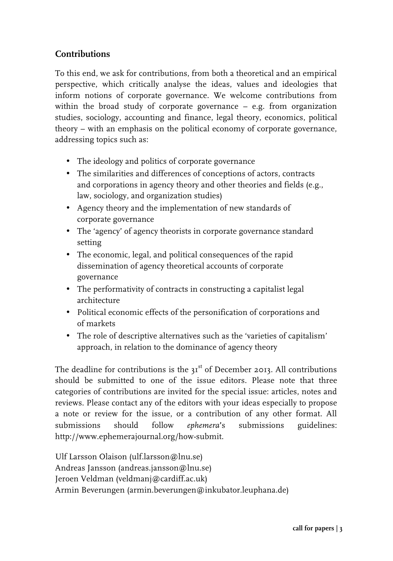## **Contributions**

To this end, we ask for contributions, from both a theoretical and an empirical perspective, which critically analyse the ideas, values and ideologies that inform notions of corporate governance. We welcome contributions from within the broad study of corporate governance – e.g. from organization studies, sociology, accounting and finance, legal theory, economics, political theory – with an emphasis on the political economy of corporate governance, addressing topics such as:

- The ideology and politics of corporate governance
- The similarities and differences of conceptions of actors, contracts and corporations in agency theory and other theories and fields (e.g., law, sociology, and organization studies)
- Agency theory and the implementation of new standards of corporate governance
- The 'agency' of agency theorists in corporate governance standard setting
- The economic, legal, and political consequences of the rapid dissemination of agency theoretical accounts of corporate governance
- The performativity of contracts in constructing a capitalist legal architecture
- Political economic effects of the personification of corporations and of markets
- The role of descriptive alternatives such as the 'varieties of capitalism' approach, in relation to the dominance of agency theory

The deadline for contributions is the  $31<sup>st</sup>$  of December 2013. All contributions should be submitted to one of the issue editors. Please note that three categories of contributions are invited for the special issue: articles, notes and reviews. Please contact any of the editors with your ideas especially to propose a note or review for the issue, or a contribution of any other format. All submissions should follow *ephemera***'**s submissions guidelines: http://www.ephemerajournal.org/how-submit.

Ulf Larsson Olaison (ulf.larsson@lnu.se) Andreas Jansson (andreas.jansson@lnu.se) Jeroen Veldman (veldmanj@cardiff.ac.uk) Armin Beverungen (armin.beverungen@inkubator.leuphana.de)